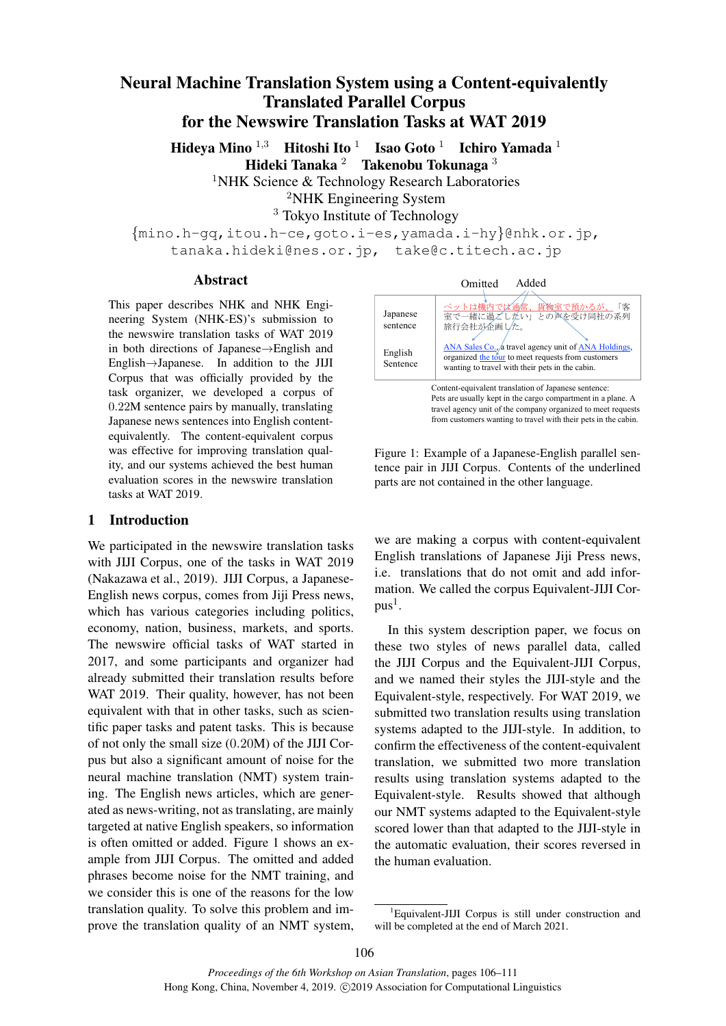# Neural Machine Translation System using a Content-equivalently Translated Parallel Corpus for the Newswire Translation Tasks at WAT 2019

Hideya Mino <sup>1,3</sup> Hitoshi Ito <sup>1</sup> Isao Goto <sup>1</sup> Ichiro Yamada <sup>1</sup> Hideki Tanaka <sup>2</sup> Takenobu Tokunaga <sup>3</sup>

<sup>1</sup>NHK Science & Technology Research Laboratories

<sup>2</sup>NHK Engineering System

<sup>3</sup> Tokyo Institute of Technology

*{*mino.h-gq,itou.h-ce,goto.i-es,yamada.i-hy*}*@nhk.or.jp, tanaka.hideki@nes.or.jp, take@c.titech.ac.jp

#### Abstract

This paper describes NHK and NHK Engineering System (NHK-ES)'s submission to the newswire translation tasks of WAT 2019 in both directions of Japanese*→*English and English*→*Japanese. In addition to the JIJI Corpus that was officially provided by the task organizer, we developed a corpus of 0*.*22M sentence pairs by manually, translating Japanese news sentences into English contentequivalently. The content-equivalent corpus was effective for improving translation quality, and our systems achieved the best human evaluation scores in the newswire translation tasks at WAT 2019.

#### 1 Introduction

We participated in the newswire translation tasks with JIJI Corpus, one of the tasks in WAT 2019 (Nakazawa et al., 2019). JIJI Corpus, a Japanese-English news corpus, comes from Jiji Press news, which has various categories including politics, economy, nation, business, markets, and sports. The newswire official tasks of WAT started in 2017, and some participants and organizer had already submitted their translation results before WAT 2019. Their quality, however, has not been equivalent with that in other tasks, such as scientific paper tasks and patent tasks. This is because of not only the small size (0*.*20M) of the JIJI Corpus but also a significant amount of noise for the neural machine translation (NMT) system training. The English news articles, which are generated as news-writing, not as translating, are mainly targeted at native English speakers, so information is often omitted or added. Figure 1 shows an example from JIJI Corpus. The omitted and added phrases become noise for the NMT training, and we consider this is one of the reasons for the low translation quality. To solve this problem and improve the translation quality of an NMT system,

| Omitted | Added |
|---------|-------|
|         |       |

| Japanese<br>sentence                                 | ペットは機内では通常、貨物室で預かるが、<br>「客<br>室で一緒に過ごしたい」との声を受け同社の系列<br>旅行会社が企画した。                                                                                            |  |  |  |
|------------------------------------------------------|---------------------------------------------------------------------------------------------------------------------------------------------------------------|--|--|--|
| English<br>Sentence                                  | ANA Sales Co., a travel agency unit of ANA Holdings,<br>organized the tour to meet requests from customers<br>wanting to travel with their pets in the cabin. |  |  |  |
| Content-equivalent translation of Japanese sentence: |                                                                                                                                                               |  |  |  |

Pets are usually kept in the cargo compartment in a plane. A travel agency unit of the company organized to meet requests from customers wanting to travel with their pets in the cabin.



we are making a corpus with content-equivalent English translations of Japanese Jiji Press news, i.e. translations that do not omit and add information. We called the corpus Equivalent-JIJI Cor $pus<sup>1</sup>$ .

In this system description paper, we focus on these two styles of news parallel data, called the JIJI Corpus and the Equivalent-JIJI Corpus, and we named their styles the JIJI-style and the Equivalent-style, respectively. For WAT 2019, we submitted two translation results using translation systems adapted to the JIJI-style. In addition, to confirm the effectiveness of the content-equivalent translation, we submitted two more translation results using translation systems adapted to the Equivalent-style. Results showed that although our NMT systems adapted to the Equivalent-style scored lower than that adapted to the JIJI-style in the automatic evaluation, their scores reversed in the human evaluation.

<sup>&</sup>lt;sup>1</sup>Equivalent-JIJI Corpus is still under construction and will be completed at the end of March 2021.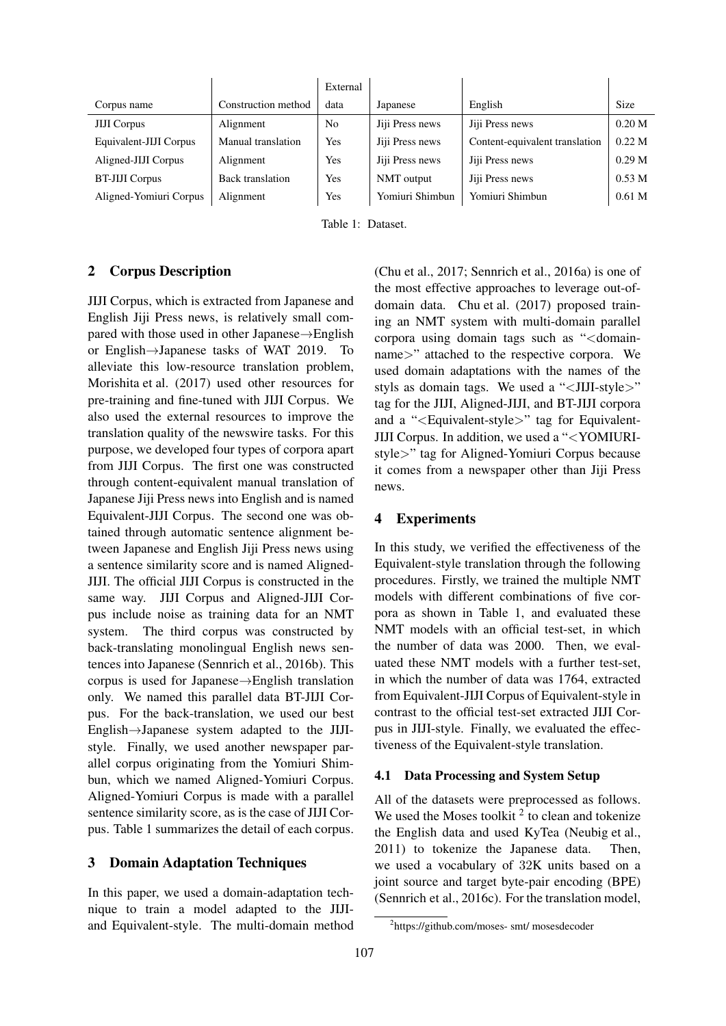|                        |                     | External |                 |                                |                   |
|------------------------|---------------------|----------|-----------------|--------------------------------|-------------------|
| Corpus name            | Construction method | data     | Japanese        | English                        | Size              |
| <b>JIJI</b> Corpus     | Alignment           | No       | Jiji Press news | Jiji Press news                | 0.20 <sub>M</sub> |
| Equivalent-JIJI Corpus | Manual translation  | Yes      | Jiji Press news | Content-equivalent translation | 0.22 M            |
| Aligned-JIJI Corpus    | Alignment           | Yes      | Jiji Press news | Jiji Press news                | 0.29 <sub>M</sub> |
| <b>BT-JIJI Corpus</b>  | Back translation    | Yes      | NMT output      | Jiji Press news                | 0.53 <sub>M</sub> |
| Aligned-Yomiuri Corpus | Alignment           | Yes      | Yomiuri Shimbun | Yomiuri Shimbun                | 0.61 <sub>M</sub> |

Table 1: Dataset.

### 2 Corpus Description

JIJI Corpus, which is extracted from Japanese and English Jiji Press news, is relatively small compared with those used in other Japanese*→*English or English*→*Japanese tasks of WAT 2019. To alleviate this low-resource translation problem, Morishita et al. (2017) used other resources for pre-training and fine-tuned with JIJI Corpus. We also used the external resources to improve the translation quality of the newswire tasks. For this purpose, we developed four types of corpora apart from JIJI Corpus. The first one was constructed through content-equivalent manual translation of Japanese Jiji Press news into English and is named Equivalent-JIJI Corpus. The second one was obtained through automatic sentence alignment between Japanese and English Jiji Press news using a sentence similarity score and is named Aligned-JIJI. The official JIJI Corpus is constructed in the same way. JIJI Corpus and Aligned-JIJI Corpus include noise as training data for an NMT system. The third corpus was constructed by back-translating monolingual English news sentences into Japanese (Sennrich et al., 2016b). This corpus is used for Japanese*→*English translation only. We named this parallel data BT-JIJI Corpus. For the back-translation, we used our best English*→*Japanese system adapted to the JIJIstyle. Finally, we used another newspaper parallel corpus originating from the Yomiuri Shimbun, which we named Aligned-Yomiuri Corpus. Aligned-Yomiuri Corpus is made with a parallel sentence similarity score, as is the case of JIJI Corpus. Table 1 summarizes the detail of each corpus.

#### 3 Domain Adaptation Techniques

In this paper, we used a domain-adaptation technique to train a model adapted to the JIJIand Equivalent-style. The multi-domain method (Chu et al., 2017; Sennrich et al., 2016a) is one of the most effective approaches to leverage out-ofdomain data. Chu et al. (2017) proposed training an NMT system with multi-domain parallel corpora using domain tags such as "*<*domainname*>*" attached to the respective corpora. We used domain adaptations with the names of the styls as domain tags. We used a "*<*JIJI-style*>*" tag for the JIJI, Aligned-JIJI, and BT-JIJI corpora and a "*<*Equivalent-style*>*" tag for Equivalent-JIJI Corpus. In addition, we used a "*<*YOMIURIstyle*>*" tag for Aligned-Yomiuri Corpus because it comes from a newspaper other than Jiji Press news.

### 4 Experiments

In this study, we verified the effectiveness of the Equivalent-style translation through the following procedures. Firstly, we trained the multiple NMT models with different combinations of five corpora as shown in Table 1, and evaluated these NMT models with an official test-set, in which the number of data was 2000. Then, we evaluated these NMT models with a further test-set, in which the number of data was 1764, extracted from Equivalent-JIJI Corpus of Equivalent-style in contrast to the official test-set extracted JIJI Corpus in JIJI-style. Finally, we evaluated the effectiveness of the Equivalent-style translation.

#### 4.1 Data Processing and System Setup

All of the datasets were preprocessed as follows. We used the Moses toolkit  $2$  to clean and tokenize the English data and used KyTea (Neubig et al., 2011) to tokenize the Japanese data. Then, we used a vocabulary of 32K units based on a joint source and target byte-pair encoding (BPE) (Sennrich et al., 2016c). For the translation model,

<sup>2</sup> https://github.com/moses- smt/ mosesdecoder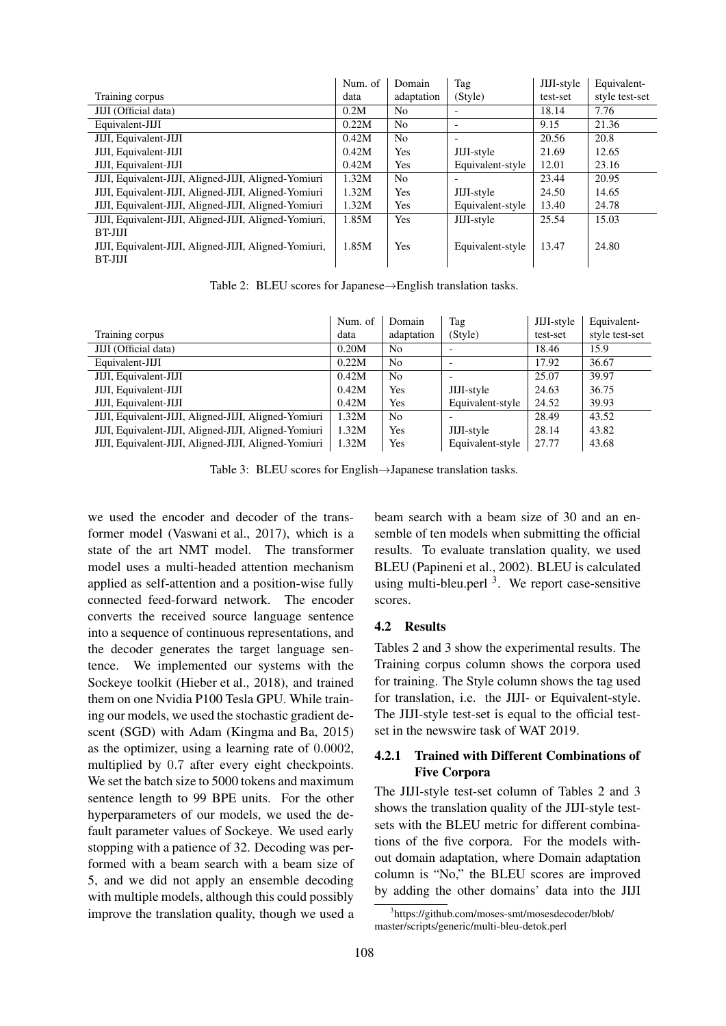|                                                       | Num. of | Domain         | Tag                      | JIJI-style | Equivalent-    |
|-------------------------------------------------------|---------|----------------|--------------------------|------------|----------------|
| Training corpus                                       | data    | adaptation     | (Style)                  | test-set   | style test-set |
| <b>JIJI</b> (Official data)                           | 0.2M    | No.            | $\overline{\phantom{a}}$ | 18.14      | 7.76           |
| Equivalent-JIJI                                       | 0.22M   | N <sub>0</sub> | $\overline{\phantom{a}}$ | 9.15       | 21.36          |
| JIJI, Equivalent-JIJI                                 | 0.42M   | N <sub>o</sub> | $\overline{\phantom{a}}$ | 20.56      | 20.8           |
| JIJI, Equivalent-JIJI                                 | 0.42M   | Yes            | JIJI-style               | 21.69      | 12.65          |
| JIJI, Equivalent-JIJI                                 | 0.42M   | Yes            | Equivalent-style         | 12.01      | 23.16          |
| JIJI, Equivalent-JIJI, Aligned-JIJI, Aligned-Yomiuri  | 1.32M   | N <sub>0</sub> | $\overline{\phantom{0}}$ | 23.44      | 20.95          |
| JIJI, Equivalent-JIJI, Aligned-JIJI, Aligned-Yomiuri  | 1.32M   | Yes            | JIJI-style               | 24.50      | 14.65          |
| JIJI, Equivalent-JIJI, Aligned-JIJI, Aligned-Yomiuri  | 1.32M   | Yes            | Equivalent-style         | 13.40      | 24.78          |
| JIJI, Equivalent-JIJI, Aligned-JIJI, Aligned-Yomiuri, | 1.85M   | Yes            | JIJI-style               | 25.54      | 15.03          |
| BT-JIJI                                               |         |                |                          |            |                |
| JIJI, Equivalent-JIJI, Aligned-JIJI, Aligned-Yomiuri, | 1.85M   | Yes            | Equivalent-style         | 13.47      | 24.80          |
| BT-JIJI                                               |         |                |                          |            |                |

Table 2: BLEU scores for Japanese*→*English translation tasks.

|                                                      | Num. of | Domain         | Tag                      | JIJI-style | Equivalent-    |
|------------------------------------------------------|---------|----------------|--------------------------|------------|----------------|
| Training corpus                                      | data    | adaptation     | (Style)                  | test-set   | style test-set |
| JIJI (Official data)                                 | 0.20M   | N <sub>0</sub> |                          | 18.46      | 15.9           |
| Equivalent-JIJI                                      | 0.22M   | N <sub>0</sub> | $\overline{\phantom{0}}$ | 17.92      | 36.67          |
| JIJI, Equivalent-JIJI                                | 0.42M   | N <sub>0</sub> |                          | 25.07      | 39.97          |
| JIJI, Equivalent-JIJI                                | 0.42M   | Yes            | JIJI-style               | 24.63      | 36.75          |
| JIJI, Equivalent-JIJI                                | 0.42M   | Yes            | Equivalent-style         | 24.52      | 39.93          |
| JIJI, Equivalent-JIJI, Aligned-JIJI, Aligned-Yomiuri | 1.32M   | N <sub>0</sub> |                          | 28.49      | 43.52          |
| JIJI, Equivalent-JIJI, Aligned-JIJI, Aligned-Yomiuri | 1.32M   | Yes            | JIJI-style               | 28.14      | 43.82          |
| JIJI, Equivalent-JIJI, Aligned-JIJI, Aligned-Yomiuri | 1.32M   | Yes            | Equivalent-style         | 27.77      | 43.68          |

Table 3: BLEU scores for English*→*Japanese translation tasks.

we used the encoder and decoder of the transformer model (Vaswani et al., 2017), which is a state of the art NMT model. The transformer model uses a multi-headed attention mechanism applied as self-attention and a position-wise fully connected feed-forward network. The encoder converts the received source language sentence into a sequence of continuous representations, and the decoder generates the target language sentence. We implemented our systems with the Sockeye toolkit (Hieber et al., 2018), and trained them on one Nvidia P100 Tesla GPU. While training our models, we used the stochastic gradient descent (SGD) with Adam (Kingma and Ba, 2015) as the optimizer, using a learning rate of 0*.*0002, multiplied by 0*.*7 after every eight checkpoints. We set the batch size to 5000 tokens and maximum sentence length to 99 BPE units. For the other hyperparameters of our models, we used the default parameter values of Sockeye. We used early stopping with a patience of 32. Decoding was performed with a beam search with a beam size of 5, and we did not apply an ensemble decoding with multiple models, although this could possibly improve the translation quality, though we used a beam search with a beam size of 30 and an ensemble of ten models when submitting the official results. To evaluate translation quality, we used BLEU (Papineni et al., 2002). BLEU is calculated using multi-bleu.perl  $3$ . We report case-sensitive scores.

#### 4.2 Results

Tables 2 and 3 show the experimental results. The Training corpus column shows the corpora used for training. The Style column shows the tag used for translation, i.e. the JIJI- or Equivalent-style. The JIJI-style test-set is equal to the official testset in the newswire task of WAT 2019.

# 4.2.1 Trained with Different Combinations of Five Corpora

The JIJI-style test-set column of Tables 2 and 3 shows the translation quality of the JIJI-style testsets with the BLEU metric for different combinations of the five corpora. For the models without domain adaptation, where Domain adaptation column is "No," the BLEU scores are improved by adding the other domains' data into the JIJI

<sup>3</sup> https://github.com/moses-smt/mosesdecoder/blob/ master/scripts/generic/multi-bleu-detok.perl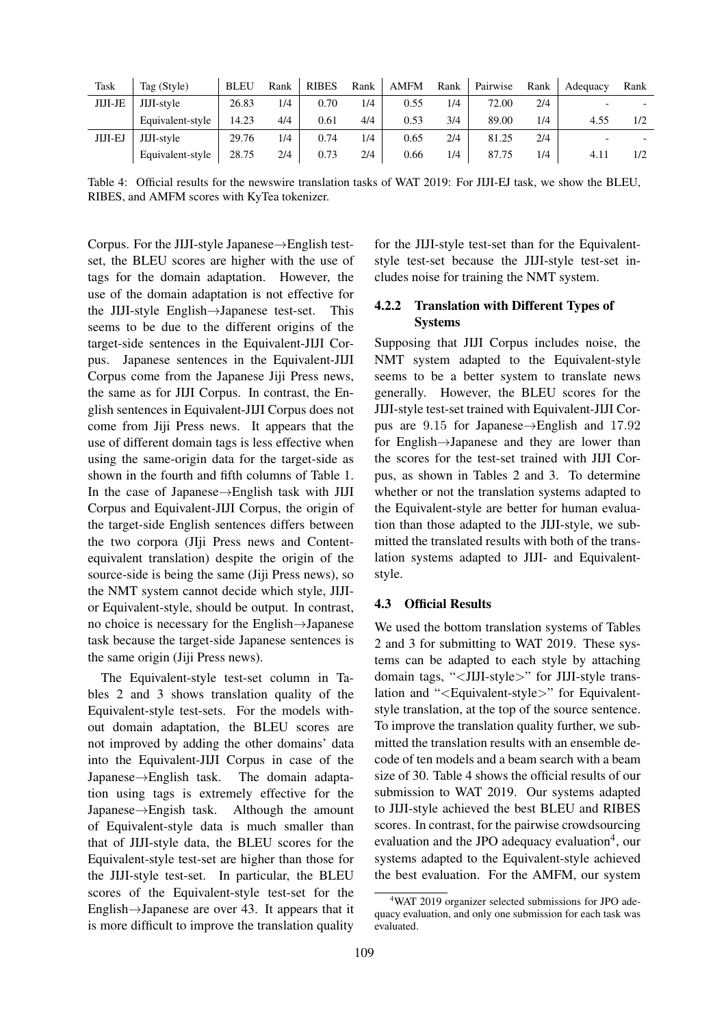| Task           | Tag (Style)      | <b>BLEU</b> | Rank | <b>RIBES</b> | Rank | <b>AMFM</b> | Rank | Pairwise | Rank | Adequacy | Rank |
|----------------|------------------|-------------|------|--------------|------|-------------|------|----------|------|----------|------|
| <b>JIJI-JE</b> | JIJI-style       | 26.83       | 1/4  | 0.70         | 1/4  | 0.55        | 1/4  | 72.00    | 2/4  |          |      |
|                | Equivalent-style | 14.23       | 4/4  | 0.61         | 4/4  | 0.53        | 3/4  | 89.00    | 1/4  | 4.55     | 1/2  |
| JIJI-EJ        | JIJI-style       | 29.76       | 1/4  | 0.74         | 1/4  | 0.65        | 2/4  | 81.25    | 2/4  |          |      |
|                | Equivalent-style | 28.75       | 2/4  | 0.73         | 2/4  | 0.66        | 1/4  | 87.75    | 1/4  | 4.11     | 1/2  |

Table 4: Official results for the newswire translation tasks of WAT 2019: For JIJI-EJ task, we show the BLEU, RIBES, and AMFM scores with KyTea tokenizer.

Corpus. For the JIJI-style Japanese*→*English testset, the BLEU scores are higher with the use of tags for the domain adaptation. However, the use of the domain adaptation is not effective for the JIJI-style English*→*Japanese test-set. This seems to be due to the different origins of the target-side sentences in the Equivalent-JIJI Corpus. Japanese sentences in the Equivalent-JIJI Corpus come from the Japanese Jiji Press news, the same as for JIJI Corpus. In contrast, the English sentences in Equivalent-JIJI Corpus does not come from Jiji Press news. It appears that the use of different domain tags is less effective when using the same-origin data for the target-side as shown in the fourth and fifth columns of Table 1. In the case of Japanese*→*English task with JIJI Corpus and Equivalent-JIJI Corpus, the origin of the target-side English sentences differs between the two corpora (JIji Press news and Contentequivalent translation) despite the origin of the source-side is being the same (Jiji Press news), so the NMT system cannot decide which style, JIJIor Equivalent-style, should be output. In contrast, no choice is necessary for the English*→*Japanese task because the target-side Japanese sentences is the same origin (Jiji Press news).

The Equivalent-style test-set column in Tables 2 and 3 shows translation quality of the Equivalent-style test-sets. For the models without domain adaptation, the BLEU scores are not improved by adding the other domains' data into the Equivalent-JIJI Corpus in case of the Japanese*→*English task. The domain adaptation using tags is extremely effective for the Japanese*→*Engish task. Although the amount of Equivalent-style data is much smaller than that of JIJI-style data, the BLEU scores for the Equivalent-style test-set are higher than those for the JIJI-style test-set. In particular, the BLEU scores of the Equivalent-style test-set for the English*→*Japanese are over 43. It appears that it is more difficult to improve the translation quality

for the JIJI-style test-set than for the Equivalentstyle test-set because the JIJI-style test-set includes noise for training the NMT system.

# 4.2.2 Translation with Different Types of Systems

Supposing that JIJI Corpus includes noise, the NMT system adapted to the Equivalent-style seems to be a better system to translate news generally. However, the BLEU scores for the JIJI-style test-set trained with Equivalent-JIJI Corpus are 9*.*15 for Japanese*→*English and 17*.*92 for English*→*Japanese and they are lower than the scores for the test-set trained with JIJI Corpus, as shown in Tables 2 and 3. To determine whether or not the translation systems adapted to the Equivalent-style are better for human evaluation than those adapted to the JIJI-style, we submitted the translated results with both of the translation systems adapted to JIJI- and Equivalentstyle.

#### 4.3 Official Results

We used the bottom translation systems of Tables 2 and 3 for submitting to WAT 2019. These systems can be adapted to each style by attaching domain tags, "*<*JIJI-style*>*" for JIJI-style translation and "*<*Equivalent-style*>*" for Equivalentstyle translation, at the top of the source sentence. To improve the translation quality further, we submitted the translation results with an ensemble decode of ten models and a beam search with a beam size of 30. Table 4 shows the official results of our submission to WAT 2019. Our systems adapted to JIJI-style achieved the best BLEU and RIBES scores. In contrast, for the pairwise crowdsourcing evaluation and the JPO adequacy evaluation<sup>4</sup>, our systems adapted to the Equivalent-style achieved the best evaluation. For the AMFM, our system

<sup>4</sup>WAT 2019 organizer selected submissions for JPO adequacy evaluation, and only one submission for each task was evaluated.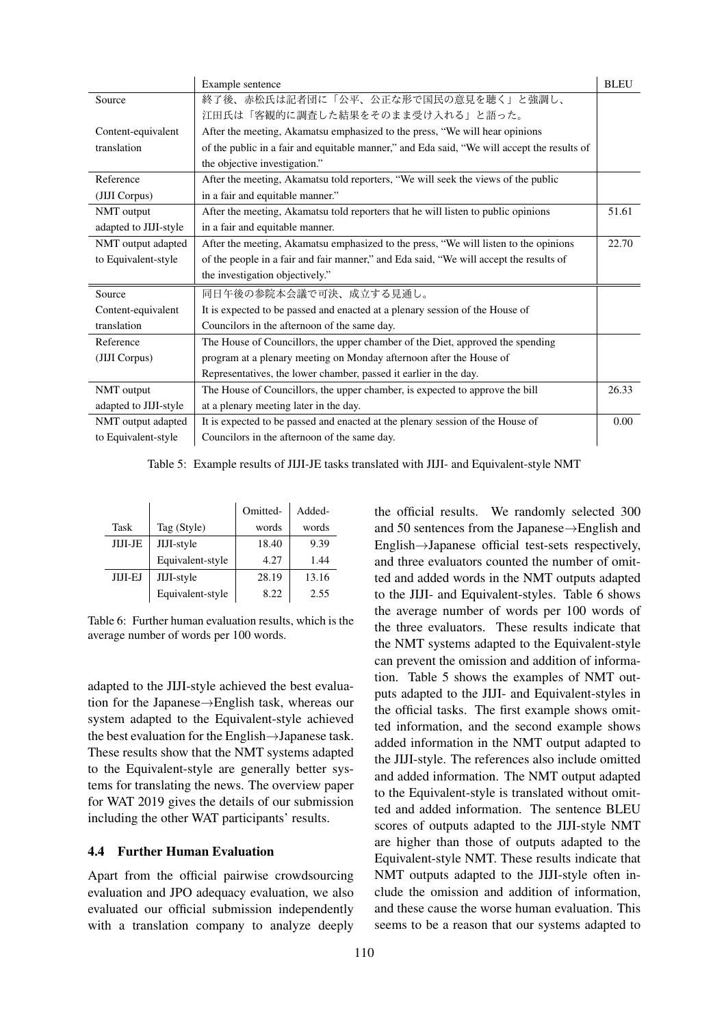|                       | Example sentence                                                                            | <b>BLEU</b> |
|-----------------------|---------------------------------------------------------------------------------------------|-------------|
| Source                | 終了後、赤松氏は記者団に「公平、公正な形で国民の意見を聴く」と強調し、                                                         |             |
|                       | 江田氏は「客観的に調査した結果をそのまま受け入れる」と語った。                                                             |             |
| Content-equivalent    | After the meeting, Akamatsu emphasized to the press, "We will hear opinions"                |             |
| translation           | of the public in a fair and equitable manner," and Eda said, "We will accept the results of |             |
|                       | the objective investigation."                                                               |             |
| Reference             | After the meeting, Akamatsu told reporters, "We will seek the views of the public           |             |
| (JIJI Corpus)         | in a fair and equitable manner."                                                            |             |
| NMT output            | After the meeting, Akamatsu told reporters that he will listen to public opinions           | 51.61       |
| adapted to JIJI-style | in a fair and equitable manner.                                                             |             |
| NMT output adapted    | After the meeting, Akamatsu emphasized to the press, "We will listen to the opinions        | 22.70       |
| to Equivalent-style   | of the people in a fair and fair manner," and Eda said, "We will accept the results of      |             |
|                       | the investigation objectively."                                                             |             |
| Source                | 同日午後の参院本会議で可決、成立する見通し。                                                                      |             |
| Content-equivalent    | It is expected to be passed and enacted at a plenary session of the House of                |             |
| translation           | Councilors in the afternoon of the same day.                                                |             |
| Reference             | The House of Councillors, the upper chamber of the Diet, approved the spending              |             |
| (JIJI Corpus)         | program at a plenary meeting on Monday afternoon after the House of                         |             |
|                       | Representatives, the lower chamber, passed it earlier in the day.                           |             |
| NMT output            | The House of Councillors, the upper chamber, is expected to approve the bill                | 26.33       |
| adapted to JIJI-style | at a plenary meeting later in the day.                                                      |             |
| NMT output adapted    | It is expected to be passed and enacted at the plenary session of the House of              | 0.00        |
| to Equivalent-style   | Councilors in the afternoon of the same day.                                                |             |

Table 5: Example results of JIJI-JE tasks translated with JIJI- and Equivalent-style NMT

|                |                  | Omitted- | Added- |
|----------------|------------------|----------|--------|
| Task           | Tag (Style)      | words    | words  |
| JIJI-JE        | JIJI-style       | 18.40    | 9.39   |
|                | Equivalent-style | 4.27     | 1.44   |
| <b>JIJI-EJ</b> | JIJI-style       | 28.19    | 13.16  |
|                | Equivalent-style | 8.22     | 2.55   |

Table 6: Further human evaluation results, which is the average number of words per 100 words.

adapted to the JIJI-style achieved the best evaluation for the Japanese*→*English task, whereas our system adapted to the Equivalent-style achieved the best evaluation for the English*→*Japanese task. These results show that the NMT systems adapted to the Equivalent-style are generally better systems for translating the news. The overview paper for WAT 2019 gives the details of our submission including the other WAT participants' results.

# 4.4 Further Human Evaluation

Apart from the official pairwise crowdsourcing evaluation and JPO adequacy evaluation, we also evaluated our official submission independently with a translation company to analyze deeply the official results. We randomly selected 300 and 50 sentences from the Japanese*→*English and English*→*Japanese official test-sets respectively, and three evaluators counted the number of omitted and added words in the NMT outputs adapted to the JIJI- and Equivalent-styles. Table 6 shows the average number of words per 100 words of the three evaluators. These results indicate that the NMT systems adapted to the Equivalent-style can prevent the omission and addition of information. Table 5 shows the examples of NMT outputs adapted to the JIJI- and Equivalent-styles in the official tasks. The first example shows omitted information, and the second example shows added information in the NMT output adapted to the JIJI-style. The references also include omitted and added information. The NMT output adapted to the Equivalent-style is translated without omitted and added information. The sentence BLEU scores of outputs adapted to the JIJI-style NMT are higher than those of outputs adapted to the Equivalent-style NMT. These results indicate that NMT outputs adapted to the JIJI-style often include the omission and addition of information, and these cause the worse human evaluation. This seems to be a reason that our systems adapted to